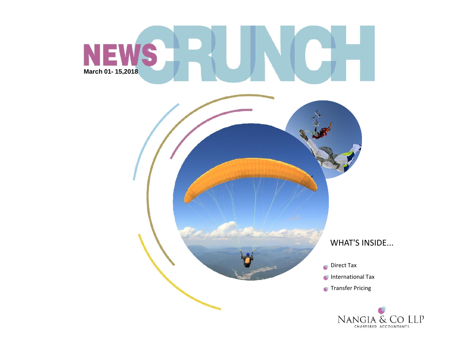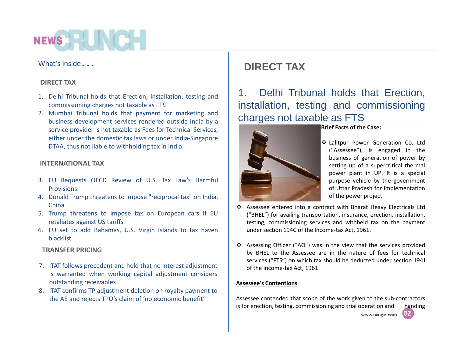## **NEWS HERE**

## What's inside*…*

## **DIRECT TAX**

- 1. Delhi Tribunal holds that Erection, installation, testing and  $\begin{vmatrix} 1 & 1 \end{vmatrix}$ commissioning charges not taxable as FTS
- 2. Mumbai Tribunal holds that payment for marketing and business development services rendered outside India by a service provider is not taxable as Fees for Technical Services, either under the domestic tax laws or under India-Singapore DTAA, thus not liable to withholding tax in India

## **INTERNATIONAL TAX**

- 3. EU Requests OECD Review of U.S. Tax Law's Harmful **Provisions**
- 4. Donald Trump threatens to impose "reciprocal tax" on India, China
- 5. Trump threatens to impose tax on European cars if EU retaliates against US tariffs
- 6. EU set to add Bahamas, U.S. Virgin Islands to tax haven blacklist

## **TRANSFER PRICING**

- 7. ITAT follows precedent and held that no interest adjustment is warranted when working capital adjustment considers outstanding receivables
- 8. ITAT confirms TP adjustment deletion on royalty payment to the AE and rejects TPO's claim of 'no economic benefit'

## **DIRECT TAX**

Delhi Tribunal holds that Erection, installation, testing and commissioning charges not taxable as FTS



## **Brief Facts of the Case:**

- Lalitpur Power Generation Co. Ltd ("Assessee"), is engaged in the business of generation of power by setting up of a supercritical thermal power plant in UP. It is a special purpose vehicle by the government of Uttar Pradesh for implementation of the power project.
- Assessee entered into a contract with Bharat Heavy Electricals Ltd ("BHEL") for availing transportation, insurance, erection, installation, testing, commissioning services and withheld tax on the payment under section 194C of the Income-tax Act, 1961.
- Assessing Officer ("AO") was in the view that the services provided by BHEL to the Assessee are in the nature of fees for technical services ("FTS") on which tax should be deducted under section 194J of the Income-tax Act, 1961.

## **Assessee's Contentions**

Assessee contended that scope of the work given to the sub-contractors is for erection, testing, commissioning and trial operation and handing **02** www.nangia.com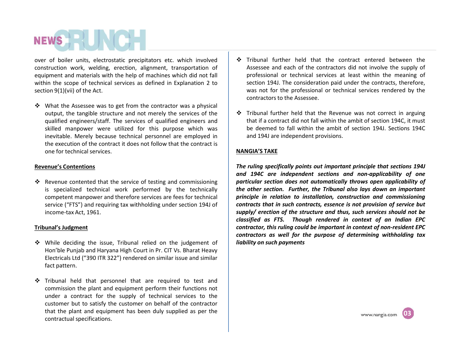over of boiler units, electrostatic precipitators etc. which involved construction work, welding, erection, alignment, transportation of equipment and materials with the help of machines which did not fall within the scope of technical services as defined in Explanation 2 to section 9(1)(vii) of the Act.

 $\cdot$  What the Assessee was to get from the contractor was a physical output, the tangible structure and not merely the services of the qualified engineers/staff. The services of qualified engineers and skilled manpower were utilized for this purpose which was inevitable. Merely because technical personnel are employed in the execution of the contract it does not follow that the contract is one for technical services.

#### **Revenue's Contentions**

 $\cdot$  Revenue contented that the service of testing and commissioning is specialized technical work performed by the technically competent manpower and therefore services are fees for technical service ("FTS") and requiring tax withholding under section 194J of income-tax Act, 1961.

#### **Tribunal's Judgment**

- ◆ While deciding the issue, Tribunal relied on the judgement of Hon'ble Punjab and Haryana High Court in Pr. CIT Vs. Bharat Heavy Electricals Ltd ("390 ITR 322") rendered on similar issue and similar fact pattern.
- Tribunal held that personnel that are required to test and commission the plant and equipment perform their functions not under a contract for the supply of technical services to the customer but to satisfy the customer on behalf of the contractor that the plant and equipment has been duly supplied as per the contractual specifications.
- Tribunal further held that the contract entered between the Assessee and each of the contractors did not involve the supply of professional or technical services at least within the meaning of section 194J. The consideration paid under the contracts, therefore, was not for the professional or technical services rendered by the contractors to the Assessee.
- $\div$  Tribunal further held that the Revenue was not correct in arguing that if a contract did not fall within the ambit of section 194C, it must be deemed to fall within the ambit of section 194J. Sections 194C and 194J are independent provisions.

#### **NANGIA'S TAKE**

*The ruling specifically points out important principle that sections 194J and 194C are independent sections and non-applicability of one particular section does not automatically throws open applicability of the other section. Further, the Tribunal also lays down an important principle in relation to installation, construction and commissioning contracts that in such contracts, essence is not provision of service but supply/ erection of the structure and thus, such services should not be classified as FTS. Though rendered in context of an Indian EPC contractor, this ruling could be important in context of non-resident EPC contractors as well* for the *purpose* of determining *withholding* tax *liability on such payments*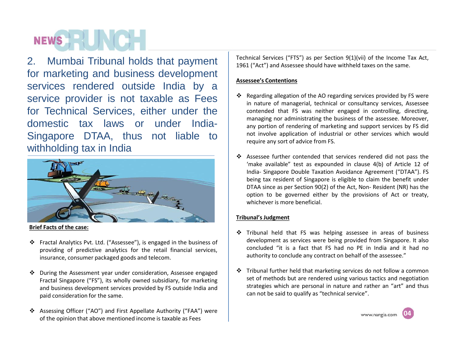# **NEWS HEADER**

2. Mumbai Tribunal holds that payment for marketing and business development services rendered outside India by a service provider is not taxable as Fees for Technical Services, either under the domestic tax laws or under India- Singapore DTAA, thus not liable to withholding tax in India



**Brief Facts of the case:**

- Fractal Analytics Pvt. Ltd. ("Assessee"), is engaged in the business of providing of predictive analytics for the retail financial services, insurance, consumer packaged goods and telecom.
- During the Assessment year under consideration, Assessee engaged Fractal Singapore ("FS"), its wholly owned subsidiary, for marketing and business development services provided by FS outside India and paid consideration for the same.
- Assessing Officer ("AO") and First Appellate Authority ("FAA") were of the opinion that above mentioned income is taxable as Fees

Technical Services ("FTS") as per Section 9(1)(vii) of the Income Tax Act, 1961 ("Act") and Assessee should have withheld taxes on the same.

## **Assessee's Contentions**

- Regarding allegation of the AO regarding services provided by FS were in nature of managerial, technical or consultancy services, Assessee contended that FS was neither engaged in controlling, directing, managing nor administrating the business of the assessee. Moreover, any portion of rendering of marketing and support services by FS did not involve application of industrial or other services which would require any sort of advice from FS.
- Assessee further contended that services rendered did not pass the 'make available" test as expounded in clause 4(b) of Article 12 of India- Singapore Double Taxation Avoidance Agreement ("DTAA"). FS being tax resident of Singapore is eligible to claim the benefit under DTAA since as per Section 90(2) of the Act, Non- Resident (NR) has the option to be governed either by the provisions of Act or treaty, whichever is more beneficial.

### **Tribunal's Judgment**

- $\div$  Tribunal held that FS was helping assessee in areas of business development as services were being provided from Singapore. It also concluded "it is a fact that FS had no PE in India and it had no authority to conclude any contract on behalf of the assessee."
- Tribunal further held that marketing services do not follow a common set of methods but are rendered using various tactics and negotiation strategies which are personal in nature and rather an "art" and thus can not be said to qualify as "technical service".

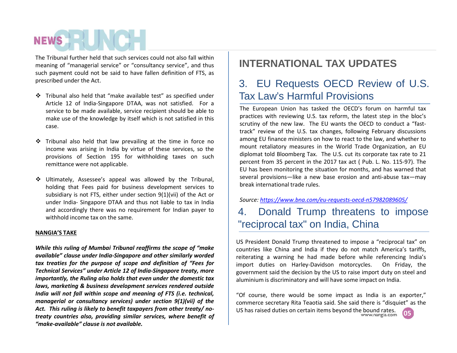The Tribunal further held that such services could not also fall within meaning of "managerial service" or "consultancy service", and thus such payment could not be said to have fallen definition of FTS, as prescribed under the Act.

- Tribunal also held that "make available test" as specified under Article 12 of India-Singapore DTAA, was not satisfied. For a service to be made available, service recipient should be able to make use of the knowledge by itself which is not satisfied in this case.
- $\cdot$  Tribunal also held that law prevailing at the time in force no income was arising in India by virtue of these services, so the provisions of Section 195 for withholding taxes on such remittance were not applicable.
- Ultimately, Assessee's appeal was allowed by the Tribunal, holding that Fees paid for business development services to subsidiary is not FTS, either under section 9(1)(vii) of the Act or under India- Singapore DTAA and thus not liable to tax in India and accordingly there was no requirement for Indian payer to  $\begin{array}{|c|c|}\n\hline\n\end{array}$ withhold income tax on the same.

#### **NANGIA'S TAKE**

*While this ruling of Mumbai Tribunal reaffirms the scope of "make available" clause under India-Singapore and other similarly worded tax treaties for the purpose ofscope and definition of "Fees for Technical Services" under Article 12 of India-Singapore treaty, more importantly, the Ruling also holds that even under the domestic tax laws, marketing & business development services rendered outside India will not fall within scope and meaning of FTS (i.e. technical, managerial or consultancy services) under section 9(1)(vii) of the Act. This ruling is likely to benefit taxpayers from other treaty/ no treaty countries also, providing similar services, where benefit of "make-available" clause is not available.*

## **INTERNATIONAL TAX UPDATES**

## 3. EU Requests OECD Review of U.S. Tax Law's Harmful Provisions

The European Union has tasked the OECD's forum on harmful tax practices with reviewing U.S. tax reform, the latest step in the bloc's scrutiny of the new law. The EU wants the OECD to conduct a "fast track" review of the U.S. tax changes, following February discussions among EU finance ministers on how to react to the law, and whether to mount retaliatory measures in the World Trade Organization, an EU diplomat told Bloomberg Tax. The U.S. cut its corporate tax rate to 21 percent from 35 percent in the 2017 tax act ( Pub. L. No. 115-97). The EU has been monitoring the situation for months, and has warned that several provisions—like a new base erosion and anti-abuse tax—may break international trade rules.

## *Source: https://www.bna.com/eu-requests-oecd-n57982089605/*

## Donald Trump threatens to impose "reciprocal tax" on India, China

US President Donald Trump threatened to impose a "reciprocal tax" on countries like China and India if they do not match America's tariffs, reiterating a warning he had made before while referencing India's import duties on Harley-Davidson motorcycles. On Friday, the government said the decision by the US to raise import duty on steeland aluminium is discriminatory and will have some impact on India.

**05** "Of course, there would be some impact as India is an exporter," commerce secretary Rita Teaotia said. She said there is "disquiet" as the US has raised duties on certain items beyond the bound rates.<br>www.nangia.com

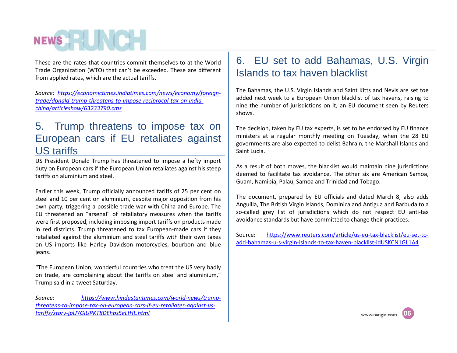These are the rates that countries commit themselves to at the World Trade Organization (WTO) that can't be exceeded. These are different from applied rates, which are the actual tariffs.

*Source: https://economictimes.indiatimes.com/news/economy/foreign trade/donald-trump-threatens-to-impose-reciprocal-tax-on-india china/articleshow/63233790.cms*

## 5. Trump threatens to impose tax on European cars if EU retaliates against US tariffs

US President Donald Trump has threatened to impose a hefty import duty on European cars if the European Union retaliates against his steep tariffs on aluminium and steel.

Earlier this week, Trump officially announced tariffs of 25 per cent on steel and 10 per cent on aluminium, despite major opposition from his own party, triggering a possible trade war with China and Europe. The EU threatened an "arsenal" of retaliatory measures when the tariffs were first proposed, including imposing import tariffs on products made in red districts. Trump threatened to tax European-made cars if they<br>retaliated against the aluminium and steel tariffs with their own taxes retaliated against the aluminium and steel tariffs with their own taxes on US imports like Harley Davidson motorcycles, bourbon and blue jeans.

"The European Union, wonderful countries who treat the US very badly on trade, are complaining about the tariffs on steel and aluminium," Trump said in a tweet Saturday.

*Source: https://www.hindustantimes.com/world-news/trump threatens-to-impose-tax-on-european-cars-if-eu-retaliates-against-us tariffs/story-jpUYGiURKT8DEhbs5eLtHL.html*

## 6. EU set to add Bahamas, U.S. Virgin Islands to tax haven blacklist

The Bahamas, the U.S. Virgin Islands and Saint Kitts and Nevis are set toe added next week to a European Union blacklist of tax havens, raising to nine the number of jurisdictions on it, an EU document seen by Reuters shows.

The decision, taken by EU tax experts, is set to be endorsed by EU finance ministers at a regular monthly meeting on Tuesday, when the 28 EU governments are also expected to delist Bahrain, the Marshall Islands and Saint Lucia.

As a result of both moves, the blacklist would maintain nine jurisdictions deemed to facilitate tax avoidance. The other six are American Samoa, Guam, Namibia, Palau, Samoa and Trinidad and Tobago.

The document, prepared by EU officials and dated March 8, also adds Anguilla, The British Virgin Islands, Dominica and Antigua and Barbuda to a so-called grey list of jurisdictions which do not respect EU anti-tax avoidance standards but have committed to change their practices.

https://www.reuters.com/article/us-eu-tax-blacklist/eu-set-toadd-bahamas-u-s-virgin-islands-to-tax-haven-blacklist-idUSKCN1GL1A4

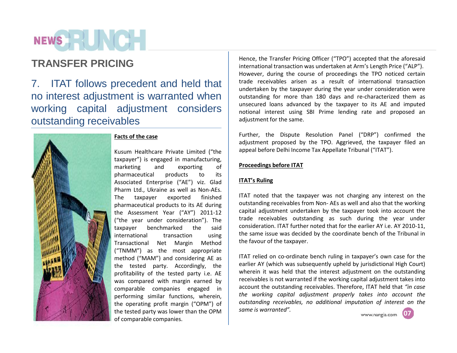## NEWS **EXISTENCE**

7. ITAT follows precedent and held that no interest adjustment is warranted when working capital adjustment considers outstanding receivables



### **Facts of the case**

Kusum Healthcare Private Limited ("the taxpayer") is engaged in manufacturing, marketing and exporting of pharmaceutical products to its Associated Enterprise ("AE") viz. Glad Pharm Ltd., Ukraine as well as Non-AEs. The taxpayer exported finished pharmaceutical products to its AE during the Assessment Year ("AY") 2011-12 ("the year under consideration"). The taxpayer benchmarked the said international transaction using Transactional Net Margin Method ("TNMM") as the most appropriate method ("MAM") and considering AE as the tested party. Accordingly, the profitability of the tested party i.e. AE was compared with margin earned by comparable companies engaged in performing similar functions, wherein, the operating profit margin ("OPM") of the tested party was lower than the OPM of comparable companies.

**TRANSFER PRICING** Hence, the Transfer Pricing Officer ("TPO") accepted that the aforesaid<br>international transfer pricing undertaken at Arm's Langth Drice ("ALD") international transaction was undertaken at Arm's Length Price ("ALP"). However, during the course of proceedings the TPO noticed certain trade receivables arisen as a result of international transaction undertaken by the taxpayer during the year under consideration were outstanding for more than 180 days and re-characterized them as unsecured loans advanced by the taxpayer to its AE and imputed notional interest using SBI Prime lending rate and proposed an adjustment for the same.

> Further, the Dispute Resolution Panel ("DRP") confirmed the adjustment proposed by the TPO. Aggrieved, the taxpayer filed an appeal before Delhi Income Tax Appellate Tribunal ("ITAT").

### **Proceedings before ITAT**

### **ITAT's Ruling**

ITAT noted that the taxpayer was not charging any interest on the outstanding receivables from Non- AEs as well and also that the working capital adjustment undertaken by the taxpayer took into account the trade receivables outstanding as such during the year under consideration. ITAT further noted that for the earlier AY i.e. AY 2010-11, the same issue was decided by the coordinate bench of the Tribunal in the favour of the taxpayer.

**07** ITAT relied on co-ordinate bench ruling in taxpayer's own case for the earlier AY (which was subsequently upheld by jurisdictional High Court) wherein it was held that the interest adjustment on the outstanding receivables is not warranted if the working capital adjustment takes into account the outstanding receivables. Therefore, ITAT held that *"in case the working capital adjustment properly takes into account the outstanding receivables, no additional imputation of interest on the same is warranted".*

www.nangia.com **0505**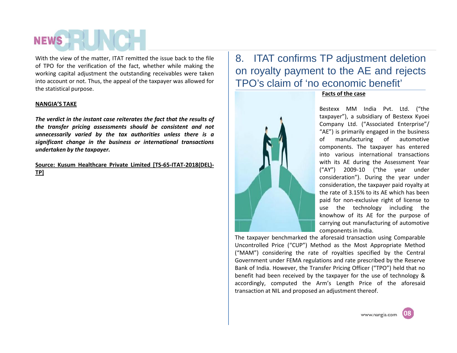With the view of the matter, ITAT remitted the issue back to the file of TPO for the verification of the fact, whether while making the working capital adjustment the outstanding receivables were taken into account or not. Thus, the appeal of the taxpayer was allowed for the statistical purpose.

### **NANGIA'S TAKE**

*The verdict in the instant case reiterates the fact that the results of the transfer pricing assessments should be consistent and not unnecessarily varied by the tax authorities unless there is a significant change in the business or international transactions undertaken by the taxpayer.*

**Source: Kusum Healthcare Private Limited [TS-65-ITAT-2018(DEL)- TP]**

## 8. ITAT confirms TP adjustment deletion on royalty payment to the AE and rejects TPO's claim of 'no economic benefit'



### **Facts of the case**

Bestexx MM India Pvt. Ltd. ("the taxpayer"), a subsidiary of Bestexx Kyoei Company Ltd. ("Associated Enterprise"/ "AE") is primarily engaged in the business of manufacturing of automotive components. The taxpayer has entered into various international transactions with its AE during the Assessment Year ("AY") 2009-10 ("the year under consideration"). During the year under consideration, the taxpayer paid royalty at the rate of 3.15% to its AE which has been paid for non-exclusive right of license to use the technology including the knowhow of its AE for the purpose of carrying out manufacturing of automotive components in India.

The taxpayer benchmarked the aforesaid transaction using Comparable Uncontrolled Price ("CUP") Method as the Most Appropriate Method ("MAM") considering the rate of royalties specified by the Central Government under FEMA regulations and rate prescribed by the Reserve Bank of India. However, the Transfer Pricing Officer ("TPO") held that no benefit had been received by the taxpayer for the use of technology & accordingly, computed the Arm's Length Price of the aforesaid transaction at NIL and proposed an adjustment thereof.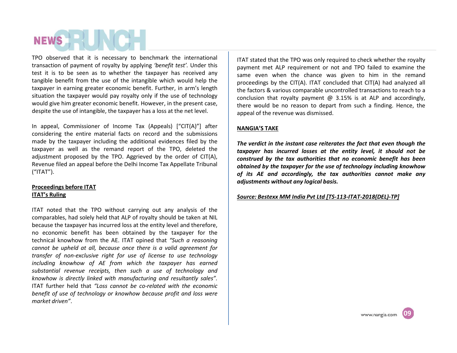TPO observed that it is necessary to benchmark the international transaction of payment of royalty by applying *'benefit test'.* Under this test it is to be seen as to whether the taxpayer has received any tangible benefit from the use of the intangible which would help the taxpayer in earning greater economic benefit. Further, in arm's length situation the taxpayer would pay royalty only if the use of technology would give him greater economic benefit. However, in the present case, despite the use of intangible, the taxpayer has a loss at the net level.

In appeal, Commissioner of Income Tax (Appeals) ["CIT(A)"] after considering the entire material facts on record and the submissions made by the taxpayer including the additional evidences filed by the taxpayer as well as the remand report of the TPO, deleted the adjustment proposed by the TPO. Aggrieved by the order of CIT(A), Revenue filed an appeal before the Delhi Income Tax Appellate Tribunal ("ITAT").

### **Proceedings before ITAT ITAT's Ruling**

ITAT noted that the TPO without carrying out any analysis of the comparables, had solely held that ALP of royalty should be taken at NIL because the taxpayer has incurred loss at the entity level and therefore, no economic benefit has been obtained by the taxpayer for the technical knowhow from the AE. ITAT opined that *"Such a reasoning cannot be upheld at all, because once there is a valid agreement for transfer of non-exclusive right for use of license to use technology including knowhow of AE from which the taxpayer has earned substantial revenue receipts, then such a use of technology and knowhow is directly linked with manufacturing and resultantly sales".* ITAT further held that *"Loss cannot be co-related with the economic benefit of use of technology or knowhow because profit and loss were market driven"*.

ITAT stated that the TPO was only required to check whether the royalty payment met ALP requirement or not and TPO failed to examine the same even when the chance was given to him in the remand proceedings by the CIT(A). ITAT concluded that CIT(A) had analyzed all the factors & various comparable uncontrolled transactions to reach to a conclusion that royalty payment  $\omega$  3.15% is at ALP and accordingly, there would be no reason to depart from such a finding. Hence, the appeal of the revenue was dismissed.

#### **NANGIA'S TAKE**

*The verdict in the instant case reiterates the fact that even though the taxpayer has incurred losses at the entity level, it should not be construed by the tax authorities that no economic benefit has been obtained by the taxpayer for the use of technology including knowhow of its AE and accordingly, the tax authorities cannot make any adjustments without any logical basis.*

#### *Source: Bestexx MM India PvtLtd [TS-113-ITAT-2018(DEL)-TP]*

**09**